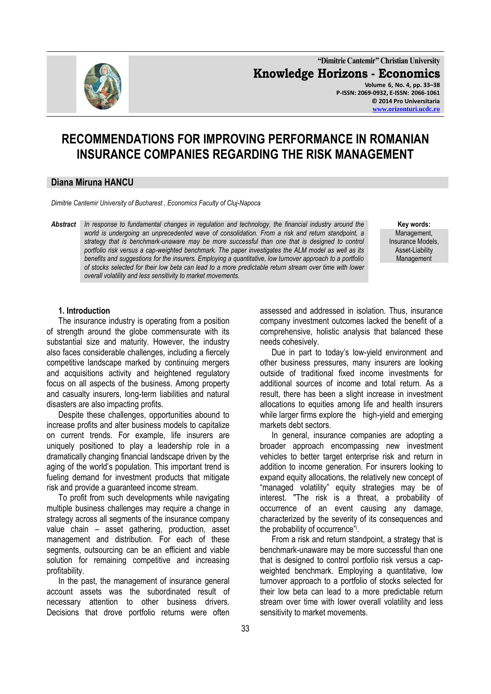

**"Dimitrie Cantemir" Christian University Knowledge Horizons - Economics Volume 6, No. 4, pp. 33–38 P-ISSN: 2069-0932, E-ISSN: 2066-1061 © 2014 Pro Universitaria [www.orizonturi.ucdc.ro](http://www.orizonturi.ucdc.ro/)**

# **RECOMMENDATIONS FOR IMPROVING PERFORMANCE IN ROMANIAN INSURANCE COMPANIES REGARDING THE RISK MANAGEMENT**

#### **Diana Miruna HANCU**

*Dimitrie Cantemir University of Bucharest , Economics Faculty of Cluj-Napoca*

*Abstract In response to fundamental changes in regulation and technology, the financial industry around the world is undergoing an unprecedented wave of consolidation. From a risk and return standpoint, a*  strategy that is benchmark-unaware may be more successful than one that is designed to control *portfolio risk versus a cap-weighted benchmark. The paper investigates the ALM model as well as its benefits and suggestions for the insurers. Employing a quantitative, low turnover approach to a portfolio of stocks selected for their low beta can lead to a more predictable return stream over time with lower overall volatility and less sensitivity to market movements.*

**Key words:** Management, Insurance Models, Asset-Liability Management

## **1. Introduction**

The insurance industry is operating from a position of strength around the globe commensurate with its substantial size and maturity. However, the industry also faces considerable challenges, including a fiercely competitive landscape marked by continuing mergers and acquisitions activity and heightened regulatory focus on all aspects of the business. Among property and casualty insurers, long-term liabilities and natural disasters are also impacting profits.

Despite these challenges, opportunities abound to increase profits and alter business models to capitalize on current trends. For example, life insurers are uniquely positioned to play a leadership role in a dramatically changing financial landscape driven by the aging of the world's population. This important trend is fueling demand for investment products that mitigate risk and provide a guaranteed income stream.

To profit from such developments while navigating multiple business challenges may require a change in strategy across all segments of the insurance company value chain – asset gathering, production, asset management and distribution. For each of these segments, outsourcing can be an efficient and viable solution for remaining competitive and increasing profitability.

In the past, the management of insurance general account assets was the subordinated result of necessary attention to other business drivers. Decisions that drove portfolio returns were often

assessed and addressed in isolation. Thus, insurance company investment outcomes lacked the benefit of a comprehensive, holistic analysis that balanced these needs cohesively.

Due in part to today's low-yield environment and other business pressures, many insurers are looking outside of traditional fixed income investments for additional sources of income and total return. As a result, there has been a slight increase in investment allocations to equities among life and health insurers while larger firms explore the high-yield and emerging markets debt sectors.

In general, insurance companies are adopting a broader approach encompassing new investment vehicles to better target enterprise risk and return in addition to income generation. For insurers looking to expand equity allocations, the relatively new concept of "managed volatility" equity strategies may be of interest. "The risk is a threat, a probability of occurrence of an event causing any damage, characterized by the severity of its consequences and the probability of occurrence"i.

From a risk and return standpoint, a strategy that is benchmark-unaware may be more successful than one that is designed to control portfolio risk versus a capweighted benchmark. Employing a quantitative, low turnover approach to a portfolio of stocks selected for their low beta can lead to a more predictable return stream over time with lower overall volatility and less sensitivity to market movements.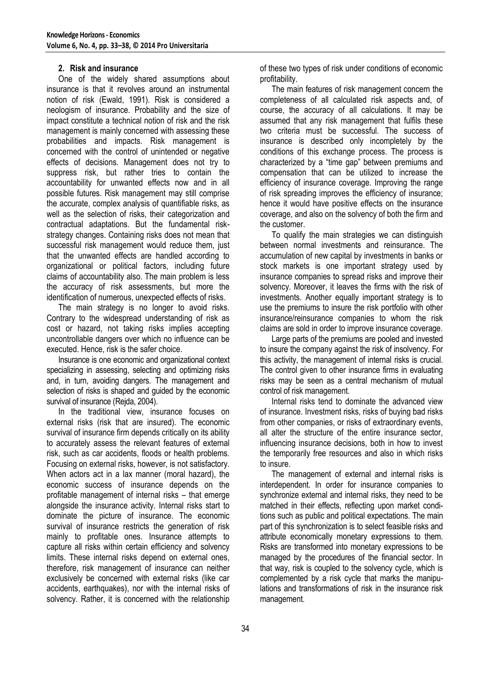## **2. Risk and insurance**

One of the widely shared assumptions about insurance is that it revolves around an instrumental notion of risk (Ewald, 1991). Risk is considered a neologism of insurance. Probability and the size of impact constitute a technical notion of risk and the risk management is mainly concerned with assessing these probabilities and impacts. Risk management is concerned with the control of unintended or negative effects of decisions. Management does not try to suppress risk, but rather tries to contain the accountability for unwanted effects now and in all possible futures. Risk management may still comprise the accurate, complex analysis of quantifiable risks, as well as the selection of risks, their categorization and contractual adaptations. But the fundamental riskstrategy changes. Containing risks does not mean that successful risk management would reduce them, just that the unwanted effects are handled according to organizational or political factors, including future claims of accountability also. The main problem is less the accuracy of risk assessments, but more the identification of numerous, unexpected effects of risks.

The main strategy is no longer to avoid risks. Contrary to the widespread understanding of risk as cost or hazard, not taking risks implies accepting uncontrollable dangers over which no influence can be executed. Hence, risk is the safer choice.

Insurance is one economic and organizational context specializing in assessing, selecting and optimizing risks and, in turn, avoiding dangers. The management and selection of risks is shaped and guided by the economic survival of insurance (Rejda, 2004).

In the traditional view, insurance focuses on external risks (risk that are insured). The economic survival of insurance firm depends critically on its ability to accurately assess the relevant features of external risk, such as car accidents, floods or health problems. Focusing on external risks, however, is not satisfactory. When actors act in a lax manner (moral hazard), the economic success of insurance depends on the profitable management of internal risks – that emerge alongside the insurance activity. Internal risks start to dominate the picture of insurance. The economic survival of insurance restricts the generation of risk mainly to profitable ones. Insurance attempts to capture all risks within certain efficiency and solvency limits. These internal risks depend on external ones, therefore, risk management of insurance can neither exclusively be concerned with external risks (like car accidents, earthquakes), nor with the internal risks of solvency. Rather, it is concerned with the relationship

of these two types of risk under conditions of economic profitability.

The main features of risk management concern the completeness of all calculated risk aspects and, of course, the accuracy of all calculations. It may be assumed that any risk management that fulfils these two criteria must be successful. The success of insurance is described only incompletely by the conditions of this exchange process. The process is characterized by a "time gap" between premiums and compensation that can be utilized to increase the efficiency of insurance coverage. Improving the range of risk spreading improves the efficiency of insurance; hence it would have positive effects on the insurance coverage, and also on the solvency of both the firm and the customer.

To qualify the main strategies we can distinguish between normal investments and reinsurance. The accumulation of new capital by investments in banks or stock markets is one important strategy used by insurance companies to spread risks and improve their solvency. Moreover, it leaves the firms with the risk of investments. Another equally important strategy is to use the premiums to insure the risk portfolio with other insurance/reinsurance companies to whom the risk claims are sold in order to improve insurance coverage.

Large parts of the premiums are pooled and invested to insure the company against the risk of insolvency. For this activity, the management of internal risks is crucial. The control given to other insurance firms in evaluating risks may be seen as a central mechanism of mutual control of risk management.

Internal risks tend to dominate the advanced view of insurance. Investment risks, risks of buying bad risks from other companies, or risks of extraordinary events, all alter the structure of the entire insurance sector, influencing insurance decisions, both in how to invest the temporarily free resources and also in which risks to insure.

The management of external and internal risks is interdependent. In order for insurance companies to synchronize external and internal risks, they need to be matched in their effects, reflecting upon market conditions such as public and political expectations. The main part of this synchronization is to select feasible risks and attribute economically monetary expressions to them. Risks are transformed into monetary expressions to be managed by the procedures of the financial sector. In that way, risk is coupled to the solvency cycle, which is complemented by a risk cycle that marks the manipulations and transformations of risk in the insurance risk management.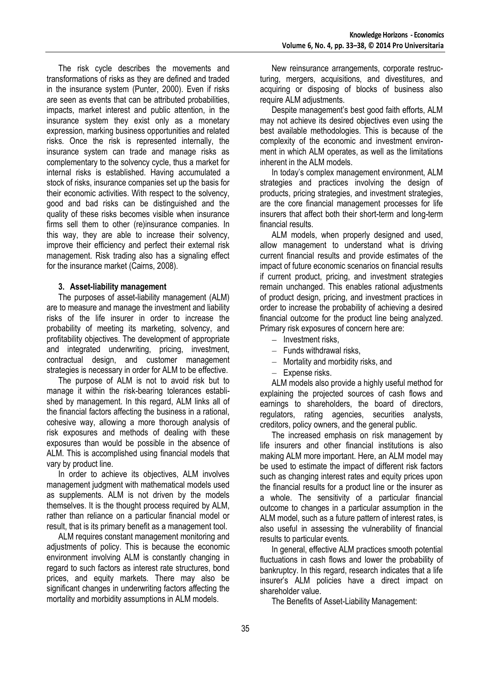The risk cycle describes the movements and transformations of risks as they are defined and traded in the insurance system (Punter, 2000). Even if risks are seen as events that can be attributed probabilities, impacts, market interest and public attention, in the insurance system they exist only as a monetary expression, marking business opportunities and related risks. Once the risk is represented internally, the insurance system can trade and manage risks as complementary to the solvency cycle, thus a market for internal risks is established. Having accumulated a stock of risks, insurance companies set up the basis for their economic activities. With respect to the solvency, good and bad risks can be distinguished and the quality of these risks becomes visible when insurance firms sell them to other (re)insurance companies. In this way, they are able to increase their solvency, improve their efficiency and perfect their external risk management. Risk trading also has a signaling effect for the insurance market (Cairns, 2008).

## **3. Asset-liability management**

The purposes of asset-liability management (ALM) are to measure and manage the investment and liability risks of the life insurer in order to increase the probability of meeting its marketing, solvency, and profitability objectives. The development of appropriate and integrated underwriting, pricing, investment, contractual design, and customer management strategies is necessary in order for ALM to be effective.

The purpose of ALM is not to avoid risk but to manage it within the risk-bearing tolerances established by management. In this regard, ALM links all of the financial factors affecting the business in a rational, cohesive way, allowing a more thorough analysis of risk exposures and methods of dealing with these exposures than would be possible in the absence of ALM. This is accomplished using financial models that vary by product line.

In order to achieve its objectives, ALM involves management judgment with mathematical models used as supplements. ALM is not driven by the models themselves. It is the thought process required by ALM, rather than reliance on a particular financial model or result, that is its primary benefit as a management tool.

ALM requires constant management monitoring and adjustments of policy. This is because the economic environment involving ALM is constantly changing in regard to such factors as interest rate structures, bond prices, and equity markets. There may also be significant changes in underwriting factors affecting the mortality and morbidity assumptions in ALM models.

New reinsurance arrangements, corporate restructuring, mergers, acquisitions, and divestitures, and acquiring or disposing of blocks of business also require ALM adjustments.

Despite management's best good faith efforts, ALM may not achieve its desired objectives even using the best available methodologies. This is because of the complexity of the economic and investment environment in which ALM operates, as well as the limitations inherent in the ALM models.

In today's complex management environment, ALM strategies and practices involving the design of products, pricing strategies, and investment strategies, are the core financial management processes for life insurers that affect both their short-term and long-term financial results.

ALM models, when properly designed and used, allow management to understand what is driving current financial results and provide estimates of the impact of future economic scenarios on financial results if current product, pricing, and investment strategies remain unchanged. This enables rational adjustments of product design, pricing, and investment practices in order to increase the probability of achieving a desired financial outcome for the product line being analyzed. Primary risk exposures of concern here are:

- $-$  Investment risks.
- $-$  Funds withdrawal risks,
- Mortality and morbidity risks, and
- $\equiv$ Expense risks.

ALM models also provide a highly useful method for explaining the projected sources of cash flows and earnings to shareholders, the board of directors, regulators, rating agencies, securities analysts, creditors, policy owners, and the general public.

The increased emphasis on risk management by life insurers and other financial institutions is also making ALM more important. Here, an ALM model may be used to estimate the impact of different risk factors such as changing interest rates and equity prices upon the financial results for a product line or the insurer as a whole. The sensitivity of a particular financial outcome to changes in a particular assumption in the ALM model, such as a future pattern of interest rates, is also useful in assessing the vulnerability of financial results to particular events.

In general, effective ALM practices smooth potential fluctuations in cash flows and lower the probability of bankruptcy. In this regard, research indicates that a life insurer's ALM policies have a direct impact on shareholder value.

The Benefits of Asset-Liability Management: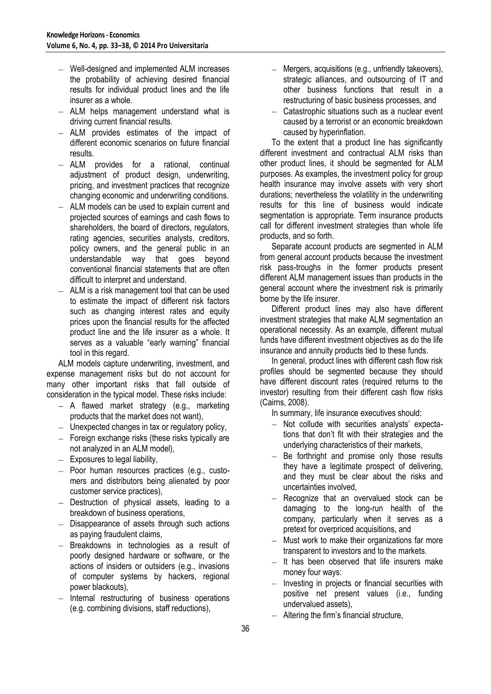- Well-designed and implemented ALM increases the probability of achieving desired financial results for individual product lines and the life insurer as a whole.
- ALM helps management understand what is driving current financial results.
- ALM provides estimates of the impact of different economic scenarios on future financial results.
- ALM provides for a rational, continual adjustment of product design, underwriting, pricing, and investment practices that recognize changing economic and underwriting conditions.
- ALM models can be used to explain current and projected sources of earnings and cash flows to shareholders, the board of directors, regulators, rating agencies, securities analysts, creditors, policy owners, and the general public in an understandable way that goes beyond conventional financial statements that are often difficult to interpret and understand.
- ALM is a risk management tool that can be used to estimate the impact of different risk factors such as changing interest rates and equity prices upon the financial results for the affected product line and the life insurer as a whole. It serves as a valuable "early warning" financial tool in this regard.

ALM models capture underwriting, investment, and expense management risks but do not account for many other important risks that fall outside of consideration in the typical model. These risks include:

- A flawed market strategy (e.g., marketing products that the market does not want),
- $-$  Unexpected changes in tax or regulatory policy,
- Foreign exchange risks (these risks typically are not analyzed in an ALM model),
- $-$  Exposures to legal liability,
- $-$  Poor human resources practices (e.g., customers and distributors being alienated by poor customer service practices),
- $-$  Destruction of physical assets, leading to a breakdown of business operations,
- $-$  Disappearance of assets through such actions as paying fraudulent claims,
- $\equiv$ Breakdowns in technologies as a result of poorly designed hardware or software, or the actions of insiders or outsiders (e.g., invasions of computer systems by hackers, regional power blackouts),
- $-$  Internal restructuring of business operations (e.g. combining divisions, staff reductions),
- Mergers, acquisitions (e.g., unfriendly takeovers),  $\equiv$ strategic alliances, and outsourcing of IT and other business functions that result in a restructuring of basic business processes, and
- Catastrophic situations such as a nuclear event caused by a terrorist or an economic breakdown caused by hyperinflation.

To the extent that a product line has significantly different investment and contractual ALM risks than other product lines, it should be segmented for ALM purposes. As examples, the investment policy for group health insurance may involve assets with very short durations; nevertheless the volatility in the underwriting results for this line of business would indicate segmentation is appropriate. Term insurance products call for different investment strategies than whole life products, and so forth.

Separate account products are segmented in ALM from general account products because the investment risk pass-troughs in the former products present different ALM management issues than products in the general account where the investment risk is primarily borne by the life insurer.

Different product lines may also have different investment strategies that make ALM segmentation an operational necessity. As an example, different mutual funds have different investment objectives as do the life insurance and annuity products tied to these funds.

In general, product lines with different cash flow risk profiles should be segmented because they should have different discount rates (required returns to the investor) resulting from their different cash flow risks (Cairns, 2008).

In summary, life insurance executives should:

- Not collude with securities analysts' expectations that don't fit with their strategies and the underlying characteristics of their markets,
- Be forthright and promise only those results  $\overline{\phantom{0}}$ they have a legitimate prospect of delivering, and they must be clear about the risks and uncertainties involved,
- Recognize that an overvalued stock can be damaging to the long-run health of the company, particularly when it serves as a pretext for overpriced acquisitions, and
- Must work to make their organizations far more transparent to investors and to the markets.
- $-$  It has been observed that life insurers make money four ways:
- Investing in projects or financial securities with  $\equiv$ positive net present values (i.e., funding undervalued assets),
- Altering the firm's financial structure,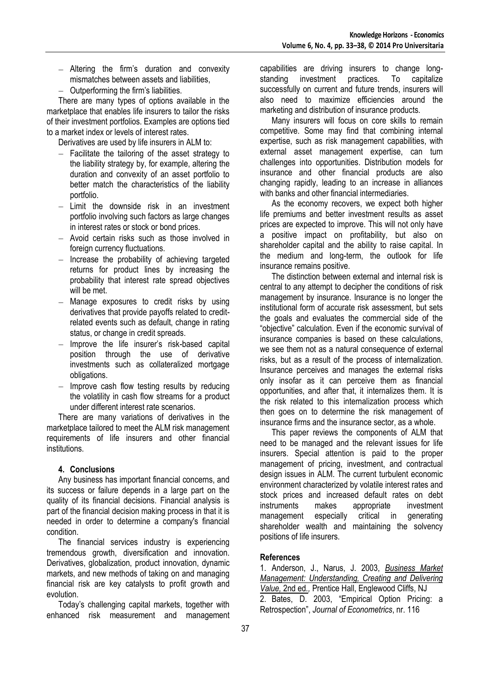- Altering the firm's duration and convexity mismatches between assets and liabilities,
- $-$  Outperforming the firm's liabilities.

There are many types of options available in the marketplace that enables life insurers to tailor the risks of their investment portfolios. Examples are options tied to a market index or levels of interest rates.

Derivatives are used by life insurers in ALM to:

- Facilitate the tailoring of the asset strategy to  $=$ the liability strategy by, for example, altering the duration and convexity of an asset portfolio to better match the characteristics of the liability portfolio.
- $-$  Limit the downside risk in an investment portfolio involving such factors as large changes in interest rates or stock or bond prices.
- $-$  Avoid certain risks such as those involved in foreign currency fluctuations.
- Increase the probability of achieving targeted  $\equiv$ returns for product lines by increasing the probability that interest rate spread objectives will be met.
- Manage exposures to credit risks by using derivatives that provide payoffs related to creditrelated events such as default, change in rating status, or change in credit spreads.
- Improve the life insurer's risk-based capital  $\equiv$ position through the use of derivative investments such as collateralized mortgage obligations.
- Improve cash flow testing results by reducing  $\equiv$ the volatility in cash flow streams for a product under different interest rate scenarios.

There are many variations of derivatives in the marketplace tailored to meet the ALM risk management requirements of life insurers and other financial institutions.

# **4. Conclusions**

Any business has important financial concerns, and its success or failure depends in a large part on the quality of its financial decisions. Financial analysis is part of the financial decision making process in that it is needed in order to determine a company's financial condition.

The financial services industry is experiencing tremendous growth, diversification and innovation. Derivatives, globalization, product innovation, dynamic markets, and new methods of taking on and managing financial risk are key catalysts to profit growth and evolution.

Today's challenging capital markets, together with enhanced risk measurement and management capabilities are driving insurers to change longstanding investment practices. To capitalize successfully on current and future trends, insurers will also need to maximize efficiencies around the marketing and distribution of insurance products.

Many insurers will focus on core skills to remain competitive. Some may find that combining internal expertise, such as risk management capabilities, with external asset management expertise, can turn challenges into opportunities. Distribution models for insurance and other financial products are also changing rapidly, leading to an increase in alliances with banks and other financial intermediaries.

As the economy recovers, we expect both higher life premiums and better investment results as asset prices are expected to improve. This will not only have a positive impact on profitability, but also on shareholder capital and the ability to raise capital. In the medium and long-term, the outlook for life insurance remains positive.

The distinction between external and internal risk is central to any attempt to decipher the conditions of risk management by insurance. Insurance is no longer the institutional form of accurate risk assessment, but sets the goals and evaluates the commercial side of the "objective" calculation. Even if the economic survival of insurance companies is based on these calculations, we see them not as a natural consequence of external risks, but as a result of the process of internalization. Insurance perceives and manages the external risks only insofar as it can perceive them as financial opportunities, and after that, it internalizes them. It is the risk related to this internalization process which then goes on to determine the risk management of insurance firms and the insurance sector, as a whole.

This paper reviews the components of ALM that need to be managed and the relevant issues for life insurers. Special attention is paid to the proper management of pricing, investment, and contractual design issues in ALM. The current turbulent economic environment characterized by volatile interest rates and stock prices and increased default rates on debt instruments makes appropriate investment management especially critical in generating shareholder wealth and maintaining the solvency positions of life insurers.

# **References**

1. Anderson, J., Narus, J. 2003, *[Business Market](http://www.amazon.com/Business-Market-Management-Understanding-Delivering/dp/0130451878/ref=sr_1_4?ie=UTF8&s=books&qid=1249499392&sr=1-4)  [Management: Understanding, Creating and Delivering](http://www.amazon.com/Business-Market-Management-Understanding-Delivering/dp/0130451878/ref=sr_1_4?ie=UTF8&s=books&qid=1249499392&sr=1-4)  [Value,](http://www.amazon.com/Business-Market-Management-Understanding-Delivering/dp/0130451878/ref=sr_1_4?ie=UTF8&s=books&qid=1249499392&sr=1-4)* 2nd ed*.,* Prentice Hall, Englewood Cliffs, NJ 2. Bates, D. 2003, "Empirical Option Pricing: a Retrospection", *Journal of Econometrics*, nr. 116